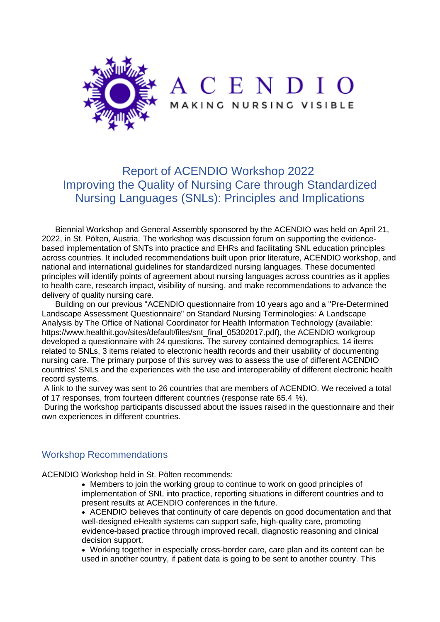

## Report of ACENDIO Workshop 2022 Improving the Quality of Nursing Care through Standardized Nursing Languages (SNLs): Principles and Implications

Biennial Workshop and General Assembly sponsored by the ACENDIO was held on April 21, 2022, in St. Pölten, Austria. The workshop was discussion forum on supporting the evidencebased implementation of SNTs into practice and EHRs and facilitating SNL education principles across countries. It included recommendations built upon prior literature, ACENDIO workshop, and national and international guidelines for standardized nursing languages. These documented principles will identify points of agreement about nursing languages across countries as it applies to health care, research impact, visibility of nursing, and make recommendations to advance the delivery of quality nursing care.

Building on our previous "ACENDIO questionnaire from 10 years ago and a "Pre-Determined Landscape Assessment Questionnaire" on Standard Nursing Terminologies: A Landscape Analysis by The Office of National Coordinator for Health Information Technology (available: [https://www.healthit.gov/sites/default/files/snt\\_final\\_05302017.pdf\)](https://www.healthit.gov/sites/default/files/snt_final_05302017.pdf), the ACENDIO workgroup developed a questionnaire with 24 questions. The survey contained demographics, 14 items related to SNLs, 3 items related to electronic health records and their usability of documenting nursing care. The primary purpose of this survey was to assess the use of different ACENDIO countries' SNLs and the experiences with the use and interoperability of different electronic health record systems.

A link to the survey was sent to 26 countries that are members of ACENDIO. We received a total of 17 responses, from fourteen different countries (response rate 65.4 %).

During the workshop participants discussed about the issues raised in the questionnaire and their own experiences in different countries.

## Workshop Recommendations

ACENDIO Workshop held in St. Pölten recommends:

• Members to join the working group to continue to work on good principles of implementation of SNL into practice, reporting situations in different countries and to present results at ACENDIO conferences in the future.

• ACENDIO believes that continuity of care depends on good documentation and that well-designed eHealth systems can support safe, high-quality care, promoting evidence-based practice through improved recall, diagnostic reasoning and clinical decision support.

• Working together in especially cross-border care, care plan and its content can be used in another country, if patient data is going to be sent to another country. This